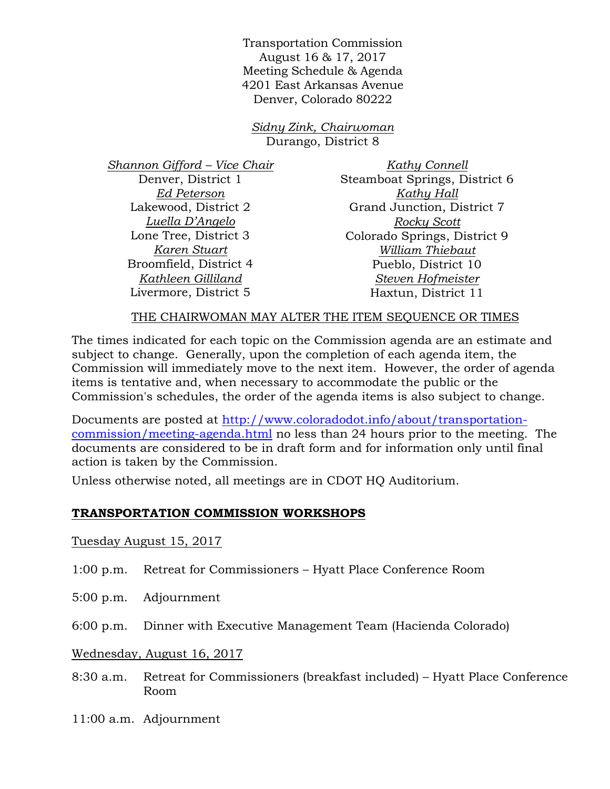Transportation Commission August 16 & 17, 2017 Meeting Schedule & Agenda 4201 East Arkansas Avenue Denver, Colorado 80222

*Sidny Zink, Chairwoman* Durango, District 8

*Shannon Gifford – Vice Chair* Denver, District 1 *Ed Peterson* Lakewood, District 2 *Luella D'Angelo* Lone Tree, District 3 *Karen Stuart* Broomfield, District 4 *Kathleen Gilliland* Livermore, District 5

*Kathy Connell* Steamboat Springs, District 6 *Kathy Hall* Grand Junction, District 7 *Rocky Scott* Colorado Springs, District 9 *William Thiebaut* Pueblo, District 10 *Steven Hofmeister* Haxtun, District 11

#### THE CHAIRWOMAN MAY ALTER THE ITEM SEOUENCE OR TIMES

The times indicated for each topic on the Commission agenda are an estimate and subject to change. Generally, upon the completion of each agenda item, the Commission will immediately move to the next item. However, the order of agenda items is tentative and, when necessary to accommodate the public or the Commission's schedules, the order of the agenda items is also subject to change.

Documents are posted at http://www.coloradodot.info/about/transportationcommission/meeting-agenda.html no less than 24 hours prior to the meeting. The documents are considered to be in draft form and for information only until final action is taken by the Commission.

Unless otherwise noted, all meetings are in CDOT HQ Auditorium.

## **TRANSPORTATION COMMISSION WORKSHOPS**

Tuesday August 15, 2017

- 1:00 p.m. Retreat for Commissioners Hyatt Place Conference Room
- 5:00 p.m. Adjournment
- 6:00 p.m. Dinner with Executive Management Team (Hacienda Colorado)

Wednesday, August 16, 2017

- 8:30 a.m. Retreat for Commissioners (breakfast included) Hyatt Place Conference Room
- 11:00 a.m. Adjournment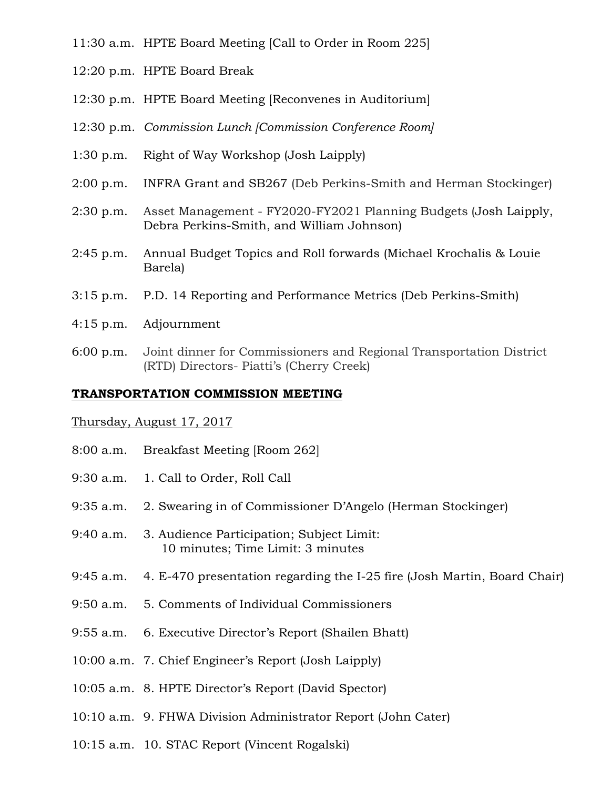- 11:30 a.m. HPTE Board Meeting [Call to Order in Room 225]
- 12:20 p.m. HPTE Board Break
- 12:30 p.m. HPTE Board Meeting [Reconvenes in Auditorium]
- 12:30 p.m. *Commission Lunch [Commission Conference Room]*
- 1:30 p.m. Right of Way Workshop (Josh Laipply)
- 2:00 p.m. INFRA Grant and SB267 (Deb Perkins-Smith and Herman Stockinger)
- 2:30 p.m. Asset Management FY2020-FY2021 Planning Budgets (Josh Laipply, Debra Perkins-Smith, and William Johnson)
- 2:45 p.m. Annual Budget Topics and Roll forwards (Michael Krochalis & Louie Barela)
- 3:15 p.m. P.D. 14 Reporting and Performance Metrics (Deb Perkins-Smith)
- 4:15 p.m. Adjournment
- 6:00 p.m. Joint dinner for Commissioners and Regional Transportation District (RTD) Directors- Piatti's (Cherry Creek)

### **TRANSPORTATION COMMISSION MEETING**

#### Thursday, August 17, 2017

- 8:00 a.m. Breakfast Meeting [Room 262]
- 9:30 a.m. 1. Call to Order, Roll Call
- 9:35 a.m. 2. Swearing in of Commissioner D'Angelo (Herman Stockinger)
- 9:40 a.m. 3. Audience Participation; Subject Limit: 10 minutes; Time Limit: 3 minutes
- 9:45 a.m. 4. E-470 presentation regarding the I-25 fire (Josh Martin, Board Chair)
- 9:50 a.m. 5. Comments of Individual Commissioners
- 9:55 a.m. 6. Executive Director's Report (Shailen Bhatt)
- 10:00 a.m. 7. Chief Engineer's Report (Josh Laipply)
- 10:05 a.m. 8. HPTE Director's Report (David Spector)
- 10:10 a.m. 9. FHWA Division Administrator Report (John Cater)
- 10:15 a.m. 10. STAC Report (Vincent Rogalski)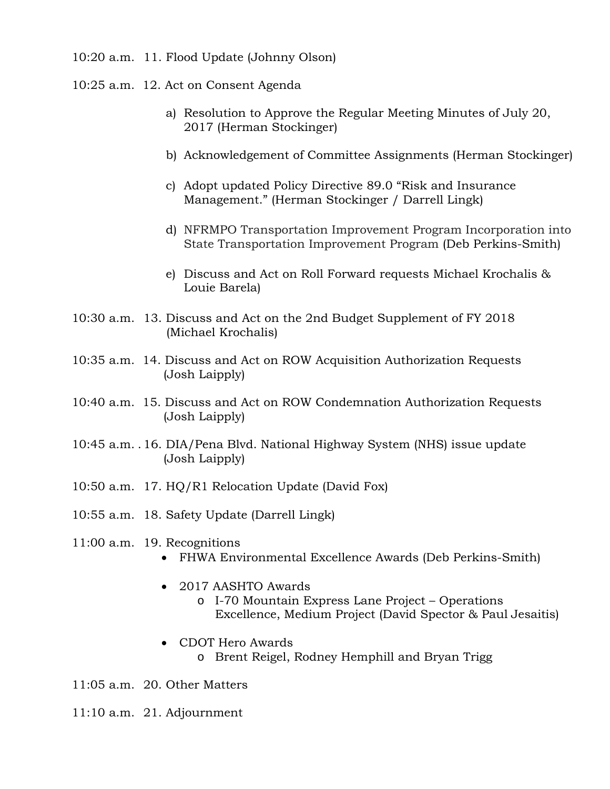- 10:20 a.m. 11. Flood Update (Johnny Olson)
- 10:25 a.m. 12. Act on Consent Agenda
	- a) Resolution to Approve the Regular Meeting Minutes of July 20, 2017 (Herman Stockinger)
	- b) Acknowledgement of Committee Assignments (Herman Stockinger)
	- c) Adopt updated Policy Directive 89.0 "Risk and Insurance Management." (Herman Stockinger / Darrell Lingk)
	- d) NFRMPO Transportation Improvement Program Incorporation into State Transportation Improvement Program (Deb Perkins-Smith)
	- e) Discuss and Act on Roll Forward requests Michael Krochalis & Louie Barela)
- 10:30 a.m. 13. Discuss and Act on the 2nd Budget Supplement of FY 2018 (Michael Krochalis)
- 10:35 a.m. 14. Discuss and Act on ROW Acquisition Authorization Requests (Josh Laipply)
- 10:40 a.m. 15. Discuss and Act on ROW Condemnation Authorization Requests (Josh Laipply)
- 10:45 a.m. . 16. DIA/Pena Blvd. National Highway System (NHS) issue update (Josh Laipply)
- 10:50 a.m. 17. HQ/R1 Relocation Update (David Fox)
- 10:55 a.m. 18. Safety Update (Darrell Lingk)
- 11:00 a.m. 19. Recognitions
	- FHWA Environmental Excellence Awards (Deb Perkins-Smith)
	- 2017 AASHTO Awards
		- o I-70 Mountain Express Lane Project Operations Excellence, Medium Project (David Spector & Paul Jesaitis)
	- CDOT Hero Awards
		- o Brent Reigel, Rodney Hemphill and Bryan Trigg

11:05 a.m. 20. Other Matters

11:10 a.m. 21. Adjournment